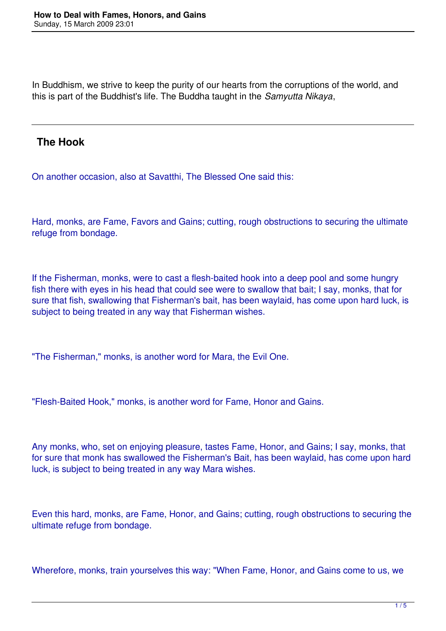In Buddhism, we strive to keep the purity of our hearts from the corruptions of the world, and this is part of the Buddhist's life. The Buddha taught in the *Samyutta Nikaya*,

#### **The Hook**

On another occasion, also at Savatthi, The Blessed One said this:

Hard, monks, are Fame, Favors and Gains; cutting, rough obstructions to securing the ultimate refuge from bondage.

If the Fisherman, monks, were to cast a flesh-baited hook into a deep pool and some hungry fish there with eyes in his head that could see were to swallow that bait; I say, monks, that for sure that fish, swallowing that Fisherman's bait, has been waylaid, has come upon hard luck, is subject to being treated in any way that Fisherman wishes.

"The Fisherman," monks, is another word for Mara, the Evil One.

"Flesh-Baited Hook," monks, is another word for Fame, Honor and Gains.

Any monks, who, set on enjoying pleasure, tastes Fame, Honor, and Gains; I say, monks, that for sure that monk has swallowed the Fisherman's Bait, has been waylaid, has come upon hard luck, is subject to being treated in any way Mara wishes.

Even this hard, monks, are Fame, Honor, and Gains; cutting, rough obstructions to securing the ultimate refuge from bondage.

Wherefore, monks, train yourselves this way: "When Fame, Honor, and Gains come to us, we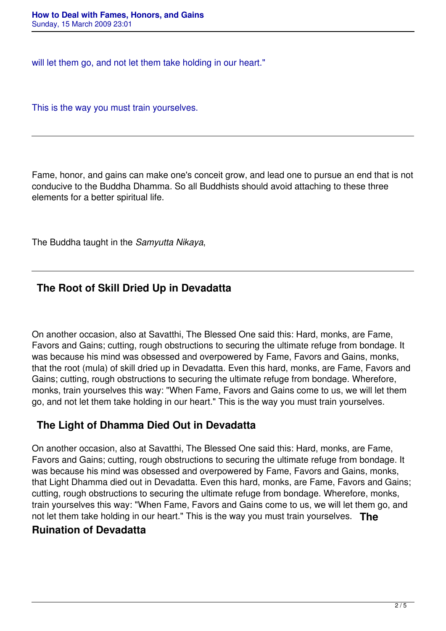will let them go, and not let them take holding in our heart."

This is the way you must train yourselves.

Fame, honor, and gains can make one's conceit grow, and lead one to pursue an end that is not conducive to the Buddha Dhamma. So all Buddhists should avoid attaching to these three elements for a better spiritual life.

The Buddha taught in the *Samyutta Nikaya*,

# **The Root of Skill Dried Up in Devadatta**

On another occasion, also at Savatthi, The Blessed One said this: Hard, monks, are Fame, Favors and Gains; cutting, rough obstructions to securing the ultimate refuge from bondage. It was because his mind was obsessed and overpowered by Fame, Favors and Gains, monks, that the root (mula) of skill dried up in Devadatta. Even this hard, monks, are Fame, Favors and Gains; cutting, rough obstructions to securing the ultimate refuge from bondage. Wherefore, monks, train yourselves this way: "When Fame, Favors and Gains come to us, we will let them go, and not let them take holding in our heart." This is the way you must train yourselves.

## **The Light of Dhamma Died Out in Devadatta**

On another occasion, also at Savatthi, The Blessed One said this: Hard, monks, are Fame, Favors and Gains; cutting, rough obstructions to securing the ultimate refuge from bondage. It was because his mind was obsessed and overpowered by Fame, Favors and Gains, monks, that Light Dhamma died out in Devadatta. Even this hard, monks, are Fame, Favors and Gains; cutting, rough obstructions to securing the ultimate refuge from bondage. Wherefore, monks, train yourselves this way: "When Fame, Favors and Gains come to us, we will let them go, and not let them take holding in our heart." This is the way you must train yourselves. **The**

## **Ruination of Devadatta**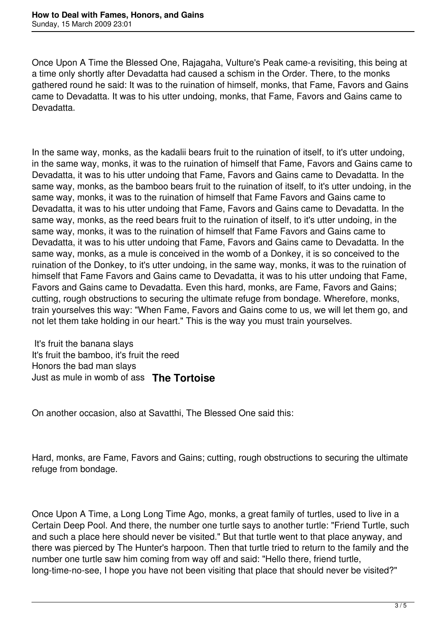Once Upon A Time the Blessed One, Rajagaha, Vulture's Peak came-a revisiting, this being at a time only shortly after Devadatta had caused a schism in the Order. There, to the monks gathered round he said: It was to the ruination of himself, monks, that Fame, Favors and Gains came to Devadatta. It was to his utter undoing, monks, that Fame, Favors and Gains came to Devadatta.

In the same way, monks, as the kadalii bears fruit to the ruination of itself, to it's utter undoing, in the same way, monks, it was to the ruination of himself that Fame, Favors and Gains came to Devadatta, it was to his utter undoing that Fame, Favors and Gains came to Devadatta. In the same way, monks, as the bamboo bears fruit to the ruination of itself, to it's utter undoing, in the same way, monks, it was to the ruination of himself that Fame Favors and Gains came to Devadatta, it was to his utter undoing that Fame, Favors and Gains came to Devadatta. In the same way, monks, as the reed bears fruit to the ruination of itself, to it's utter undoing, in the same way, monks, it was to the ruination of himself that Fame Favors and Gains came to Devadatta, it was to his utter undoing that Fame, Favors and Gains came to Devadatta. In the same way, monks, as a mule is conceived in the womb of a Donkey, it is so conceived to the ruination of the Donkey, to it's utter undoing, in the same way, monks, it was to the ruination of himself that Fame Favors and Gains came to Devadatta, it was to his utter undoing that Fame, Favors and Gains came to Devadatta. Even this hard, monks, are Fame, Favors and Gains; cutting, rough obstructions to securing the ultimate refuge from bondage. Wherefore, monks, train yourselves this way: "When Fame, Favors and Gains come to us, we will let them go, and not let them take holding in our heart." This is the way you must train yourselves.

 It's fruit the banana slays It's fruit the bamboo, it's fruit the reed Honors the bad man slays Just as mule in womb of ass **The Tortoise** 

On another occasion, also at Savatthi, The Blessed One said this:

Hard, monks, are Fame, Favors and Gains; cutting, rough obstructions to securing the ultimate refuge from bondage.

Once Upon A Time, a Long Long Time Ago, monks, a great family of turtles, used to live in a Certain Deep Pool. And there, the number one turtle says to another turtle: "Friend Turtle, such and such a place here should never be visited." But that turtle went to that place anyway, and there was pierced by The Hunter's harpoon. Then that turtle tried to return to the family and the number one turtle saw him coming from way off and said: "Hello there, friend turtle, long-time-no-see, I hope you have not been visiting that place that should never be visited?"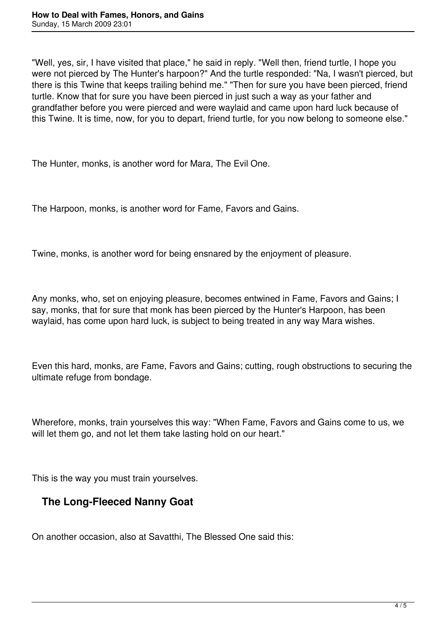"Well, yes, sir, I have visited that place," he said in reply. "Well then, friend turtle, I hope you were not pierced by The Hunter's harpoon?" And the turtle responded: "Na, I wasn't pierced, but there is this Twine that keeps trailing behind me." "Then for sure you have been pierced, friend turtle. Know that for sure you have been pierced in just such a way as your father and grandfather before you were pierced and were waylaid and came upon hard luck because of this Twine. It is time, now, for you to depart, friend turtle, for you now belong to someone else."

The Hunter, monks, is another word for Mara, The Evil One.

The Harpoon, monks, is another word for Fame, Favors and Gains.

Twine, monks, is another word for being ensnared by the enjoyment of pleasure.

Any monks, who, set on enjoying pleasure, becomes entwined in Fame, Favors and Gains; I say, monks, that for sure that monk has been pierced by the Hunter's Harpoon, has been waylaid, has come upon hard luck, is subject to being treated in any way Mara wishes.

Even this hard, monks, are Fame, Favors and Gains; cutting, rough obstructions to securing the ultimate refuge from bondage.

Wherefore, monks, train yourselves this way: "When Fame, Favors and Gains come to us, we will let them go, and not let them take lasting hold on our heart."

This is the way you must train yourselves.

## **The Long-Fleeced Nanny Goat**

On another occasion, also at Savatthi, The Blessed One said this: